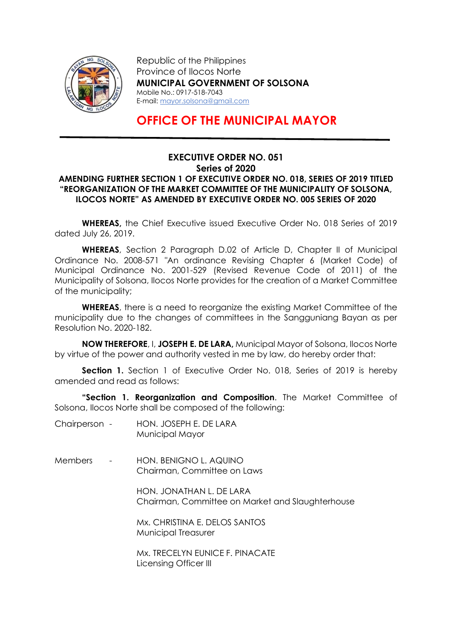

Republic of the Philippines Province of Ilocos Norte MUNICIPAL GOVERNMENT OF SOLSONA Mobile No.: 0917-518-7043 E-mail: mayor.solsona@gmail.com

## OFFICE OF THE MUNICIPAL MAYOR

## EXECUTIVE ORDER NO. 051 Series of 2020 AMENDING FURTHER SECTION 1 OF EXECUTIVE ORDER NO. 018, SERIES OF 2019 TITLED "REORGANIZATION OF THE MARKET COMMITTEE OF THE MUNICIPALITY OF SOLSONA, ILOCOS NORTE" AS AMENDED BY EXECUTIVE ORDER NO. 005 SERIES OF 2020

WHEREAS, the Chief Executive issued Executive Order No. 018 Series of 2019 dated July 26, 2019.

WHEREAS, Section 2 Paragraph D.02 of Article D, Chapter II of Municipal Ordinance No. 2008-571 "An ordinance Revising Chapter 6 (Market Code) of Municipal Ordinance No. 2001-529 (Revised Revenue Code of 2011) of the Municipality of Solsona, Ilocos Norte provides for the creation of a Market Committee of the municipality;

WHEREAS, there is a need to reorganize the existing Market Committee of the municipality due to the changes of committees in the Sangguniang Bayan as per Resolution No. 2020-182.

NOW THEREFORE, I, JOSEPH E. DE LARA, Municipal Mayor of Solsona, Ilocos Norte by virtue of the power and authority vested in me by law, do hereby order that:

Section 1. Section 1 of Executive Order No. 018. Series of 2019 is hereby amended and read as follows:

"Section 1. Reorganization and Composition. The Market Committee of Solsona, Ilocos Norte shall be composed of the following:

- Chairperson HON. JOSEPH E. DE LARA Municipal Mayor
- Members HON. BENIGNO L. AQUINO Chairman, Committee on Laws

 HON. JONATHAN L. DE LARA Chairman, Committee on Market and Slaughterhouse

 Mx. CHRISTINA E. DELOS SANTOS Municipal Treasurer

 Mx. TRECELYN EUNICE F. PINACATE Licensing Officer III